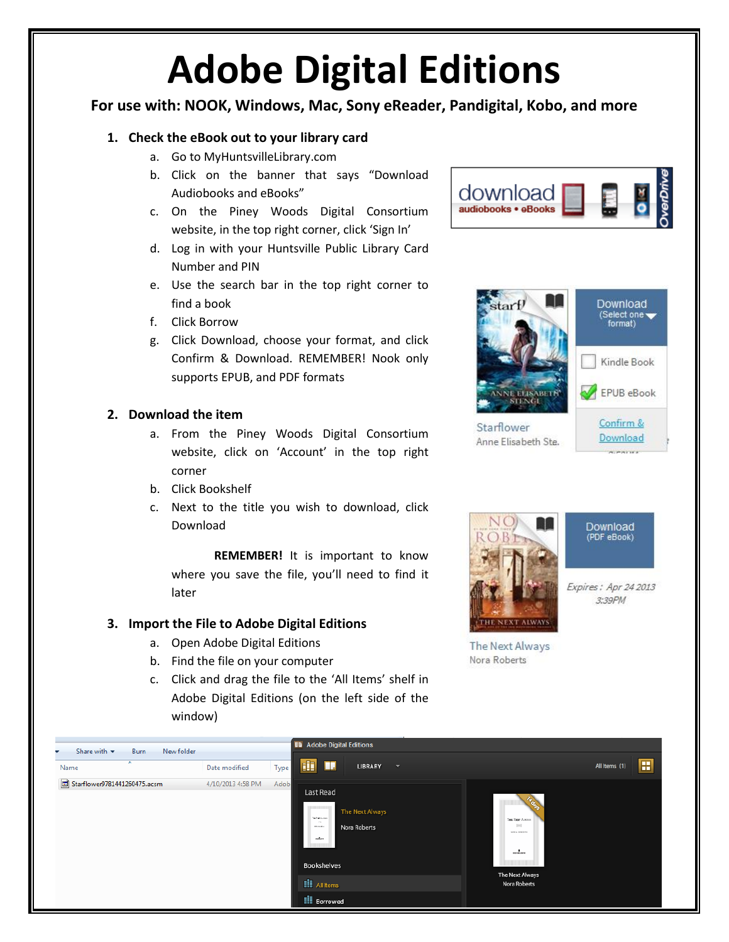## **Adobe Digital Editions**

## **For use with: NOOK, Windows, Mac, Sony eReader, Pandigital, Kobo, and more**

## **1. Check the eBook out to your library card**

- a. Go to MyHuntsvilleLibrary.com
- b. Click on the banner that says "Download Audiobooks and eBooks"
- c. On the Piney Woods Digital Consortium website, in the top right corner, click 'Sign In'
- d. Log in with your Huntsville Public Library Card Number and PIN
- e. Use the search bar in the top right corner to find a book
- f. Click Borrow
- g. Click Download, choose your format, and click Confirm & Download. REMEMBER! Nook only supports EPUB, and PDF formats

#### **2. Download the item**

- a. From the Piney Woods Digital Consortium website, click on 'Account' in the top right corner
- b. Click Bookshelf
- c. Next to the title you wish to download, click Download

**REMEMBER!** It is important to know where you save the file, you'll need to find it later

## **3. Import the File to Adobe Digital Editions**

- a. Open Adobe Digital Editions
- b. Find the file on your computer
- c. Click and drag the file to the 'All Items' shelf in Adobe Digital Editions (on the left side of the window)







Download (PDF eBook)

Expires: Apr 24 2013 3:39PM

The Next Always Nora Roberts